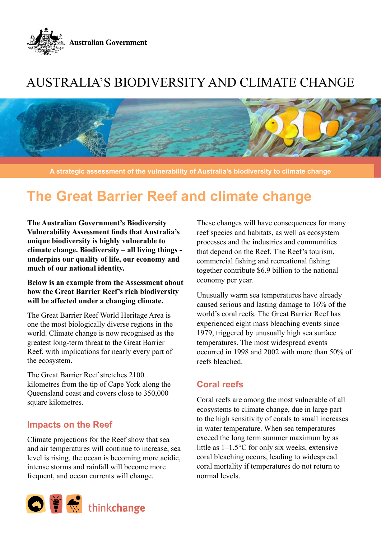

## Australia's biodiversity and climate change



**A strategic assessment of the vulnerability of Australia's biodiversity to climate change**

## **The Great Barrier Reef and climate change**

**The Australian Government's Biodiversity Vulnerability Assessment finds that Australia's unique biodiversity is highly vulnerable to climate change. Biodiversity – all living things underpins our quality of life, our economy and much of our national identity.** 

**Below is an example from the Assessment about how the Great Barrier Reef's rich biodiversity will be affected under a changing climate.** 

The Great Barrier Reef World Heritage Area is one the most biologically diverse regions in the world. Climate change is now recognised as the greatest long-term threat to the Great Barrier Reef, with implications for nearly every part of the ecosystem.

The Great Barrier Reef stretches 2100 kilometres from the tip of Cape York along the Queensland coast and covers close to 350,000 square kilometres.

## **Impacts on the Reef**

Climate projections for the Reef show that sea and air temperatures will continue to increase, sea level is rising, the ocean is becoming more acidic, intense storms and rainfall will become more frequent, and ocean currents will change.



These changes will have consequences for many reef species and habitats, as well as ecosystem processes and the industries and communities that depend on the Reef. The Reef's tourism, commercial fishing and recreational fishing together contribute \$6.9 billion to the national economy per year.

Unusually warm sea temperatures have already caused serious and lasting damage to 16% of the world's coral reefs. The Great Barrier Reef has experienced eight mass bleaching events since 1979, triggered by unusually high sea surface temperatures. The most widespread events occurred in 1998 and 2002 with more than 50% of reefs bleached.

## **Coral reefs**

Coral reefs are among the most vulnerable of all ecosystems to climate change, due in large part to the high sensitivity of corals to small increases in water temperature. When sea temperatures exceed the long term summer maximum by as little as 1–1.5°C for only six weeks, extensive coral bleaching occurs, leading to widespread coral mortality if temperatures do not return to normal levels.